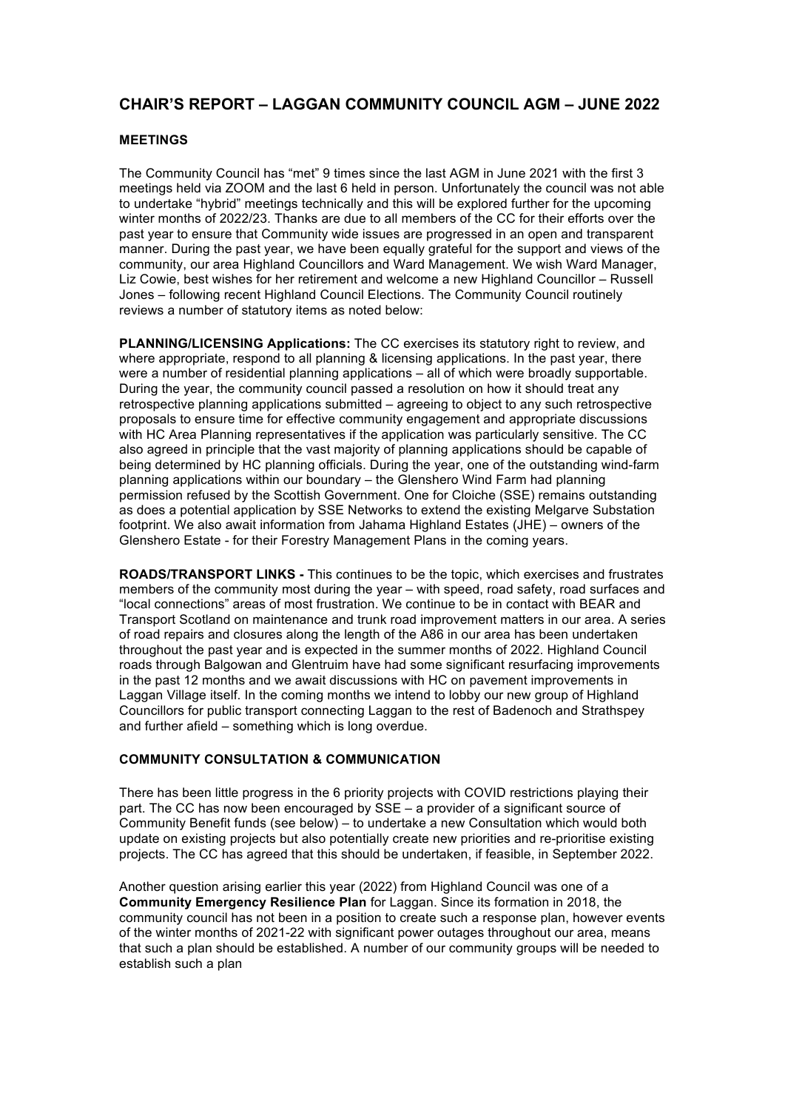## **CHAIR'S REPORT – LAGGAN COMMUNITY COUNCIL AGM – JUNE 2022**

## **MEETINGS**

The Community Council has "met" 9 times since the last AGM in June 2021 with the first 3 meetings held via ZOOM and the last 6 held in person. Unfortunately the council was not able to undertake "hybrid" meetings technically and this will be explored further for the upcoming winter months of 2022/23. Thanks are due to all members of the CC for their efforts over the past year to ensure that Community wide issues are progressed in an open and transparent manner. During the past year, we have been equally grateful for the support and views of the community, our area Highland Councillors and Ward Management. We wish Ward Manager, Liz Cowie, best wishes for her retirement and welcome a new Highland Councillor – Russell Jones – following recent Highland Council Elections. The Community Council routinely reviews a number of statutory items as noted below:

**PLANNING/LICENSING Applications:** The CC exercises its statutory right to review, and where appropriate, respond to all planning & licensing applications. In the past year, there were a number of residential planning applications – all of which were broadly supportable. During the year, the community council passed a resolution on how it should treat any retrospective planning applications submitted – agreeing to object to any such retrospective proposals to ensure time for effective community engagement and appropriate discussions with HC Area Planning representatives if the application was particularly sensitive. The CC also agreed in principle that the vast majority of planning applications should be capable of being determined by HC planning officials. During the year, one of the outstanding wind-farm planning applications within our boundary – the Glenshero Wind Farm had planning permission refused by the Scottish Government. One for Cloiche (SSE) remains outstanding as does a potential application by SSE Networks to extend the existing Melgarve Substation footprint. We also await information from Jahama Highland Estates (JHE) – owners of the Glenshero Estate - for their Forestry Management Plans in the coming years.

**ROADS/TRANSPORT LINKS -** This continues to be the topic, which exercises and frustrates members of the community most during the year – with speed, road safety, road surfaces and "local connections" areas of most frustration. We continue to be in contact with BEAR and Transport Scotland on maintenance and trunk road improvement matters in our area. A series of road repairs and closures along the length of the A86 in our area has been undertaken throughout the past year and is expected in the summer months of 2022. Highland Council roads through Balgowan and Glentruim have had some significant resurfacing improvements in the past 12 months and we await discussions with HC on pavement improvements in Laggan Village itself. In the coming months we intend to lobby our new group of Highland Councillors for public transport connecting Laggan to the rest of Badenoch and Strathspey and further afield – something which is long overdue.

## **COMMUNITY CONSULTATION & COMMUNICATION**

There has been little progress in the 6 priority projects with COVID restrictions playing their part. The CC has now been encouraged by SSE – a provider of a significant source of Community Benefit funds (see below) – to undertake a new Consultation which would both update on existing projects but also potentially create new priorities and re-prioritise existing projects. The CC has agreed that this should be undertaken, if feasible, in September 2022.

Another question arising earlier this year (2022) from Highland Council was one of a **Community Emergency Resilience Plan** for Laggan. Since its formation in 2018, the community council has not been in a position to create such a response plan, however events of the winter months of 2021-22 with significant power outages throughout our area, means that such a plan should be established. A number of our community groups will be needed to establish such a plan